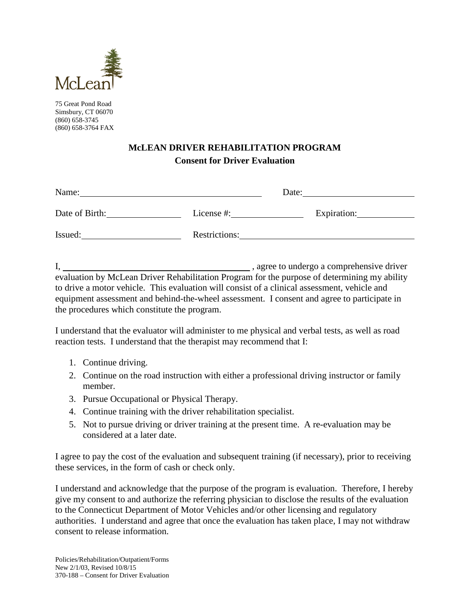

75 Great Pond Road Simsbury, CT 06070 (860) 658-3745 (860) 658-3764 FAX

## **McLEAN DRIVER REHABILITATION PROGRAM Consent for Driver Evaluation**

| Name:          |               | Date:       |
|----------------|---------------|-------------|
| Date of Birth: | License #:    | Expiration: |
| Issued:        | Restrictions: |             |

I, , agree to undergo a comprehensive driver evaluation by McLean Driver Rehabilitation Program for the purpose of determining my ability to drive a motor vehicle. This evaluation will consist of a clinical assessment, vehicle and equipment assessment and behind-the-wheel assessment. I consent and agree to participate in the procedures which constitute the program.

I understand that the evaluator will administer to me physical and verbal tests, as well as road reaction tests. I understand that the therapist may recommend that I:

- 1. Continue driving.
- 2. Continue on the road instruction with either a professional driving instructor or family member.
- 3. Pursue Occupational or Physical Therapy.
- 4. Continue training with the driver rehabilitation specialist.
- 5. Not to pursue driving or driver training at the present time. A re-evaluation may be considered at a later date.

I agree to pay the cost of the evaluation and subsequent training (if necessary), prior to receiving these services, in the form of cash or check only.

I understand and acknowledge that the purpose of the program is evaluation. Therefore, I hereby give my consent to and authorize the referring physician to disclose the results of the evaluation to the Connecticut Department of Motor Vehicles and/or other licensing and regulatory authorities. I understand and agree that once the evaluation has taken place, I may not withdraw consent to release information.